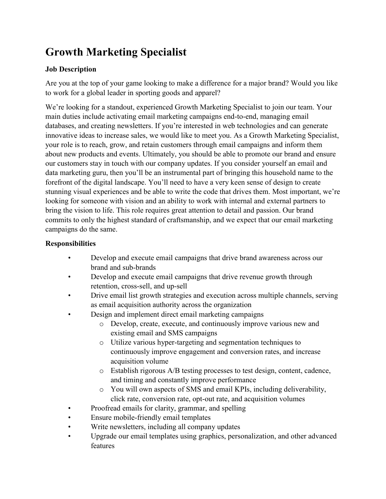# **Growth Marketing Specialist**

## **Job Description**

Are you at the top of your game looking to make a difference for a major brand? Would you like to work for a global leader in sporting goods and apparel?

We're looking for a standout, experienced Growth Marketing Specialist to join our team. Your main duties include activating email marketing campaigns end-to-end, managing email databases, and creating newsletters. If you're interested in web technologies and can generate innovative ideas to increase sales, we would like to meet you. As a Growth Marketing Specialist, your role is to reach, grow, and retain customers through email campaigns and inform them about new products and events. Ultimately, you should be able to promote our brand and ensure our customers stay in touch with our company updates. If you consider yourself an email and data marketing guru, then you'll be an instrumental part of bringing this household name to the forefront of the digital landscape. You'll need to have a very keen sense of design to create stunning visual experiences and be able to write the code that drives them. Most important, we're looking for someone with vision and an ability to work with internal and external partners to bring the vision to life. This role requires great attention to detail and passion. Our brand commits to only the highest standard of craftsmanship, and we expect that our email marketing campaigns do the same.

## **Responsibilities**

- Develop and execute email campaigns that drive brand awareness across our brand and sub-brands
- Develop and execute email campaigns that drive revenue growth through retention, cross-sell, and up-sell
- Drive email list growth strategies and execution across multiple channels, serving as email acquisition authority across the organization
- Design and implement direct email marketing campaigns
	- o Develop, create, execute, and continuously improve various new and existing email and SMS campaigns
	- o Utilize various hyper-targeting and segmentation techniques to continuously improve engagement and conversion rates, and increase acquisition volume
	- o Establish rigorous A/B testing processes to test design, content, cadence, and timing and constantly improve performance
	- o You will own aspects of SMS and email KPIs, including deliverability, click rate, conversion rate, opt-out rate, and acquisition volumes
- Proofread emails for clarity, grammar, and spelling
- Ensure mobile-friendly email templates
- Write newsletters, including all company updates
- Upgrade our email templates using graphics, personalization, and other advanced features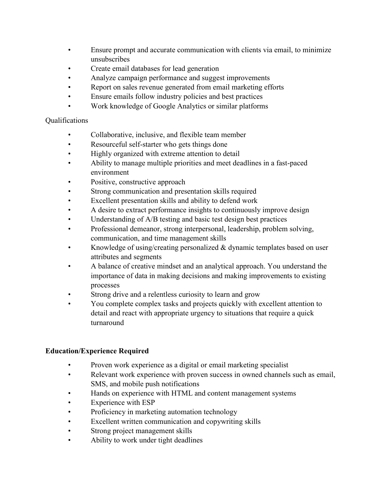- Ensure prompt and accurate communication with clients via email, to minimize unsubscribes
- Create email databases for lead generation
- Analyze campaign performance and suggest improvements
- Report on sales revenue generated from email marketing efforts
- Ensure emails follow industry policies and best practices
- Work knowledge of Google Analytics or similar platforms

#### Qualifications

- Collaborative, inclusive, and flexible team member
- Resourceful self-starter who gets things done
- Highly organized with extreme attention to detail
- Ability to manage multiple priorities and meet deadlines in a fast-paced environment
- Positive, constructive approach
- Strong communication and presentation skills required
- Excellent presentation skills and ability to defend work
- A desire to extract performance insights to continuously improve design
- Understanding of A/B testing and basic test design best practices
- Professional demeanor, strong interpersonal, leadership, problem solving, communication, and time management skills
- Knowledge of using/creating personalized  $&$  dynamic templates based on user attributes and segments
- A balance of creative mindset and an analytical approach. You understand the importance of data in making decisions and making improvements to existing processes
- Strong drive and a relentless curiosity to learn and grow
- You complete complex tasks and projects quickly with excellent attention to detail and react with appropriate urgency to situations that require a quick turnaround

#### **Education/Experience Required**

- Proven work experience as a digital or email marketing specialist
- Relevant work experience with proven success in owned channels such as email, SMS, and mobile push notifications
- Hands on experience with HTML and content management systems
- Experience with ESP
- Proficiency in marketing automation technology
- Excellent written communication and copywriting skills
- Strong project management skills
- Ability to work under tight deadlines